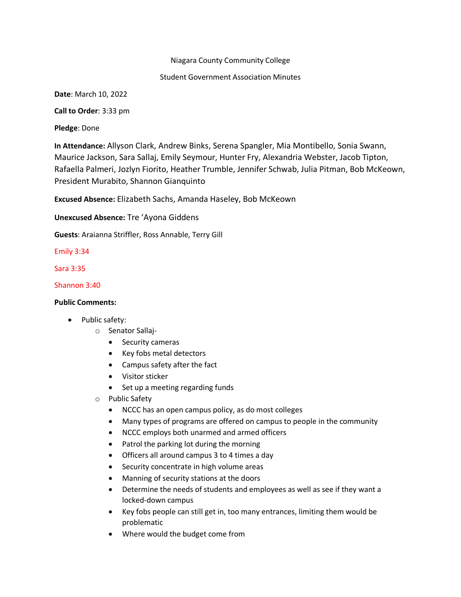# Niagara County Community College

# Student Government Association Minutes

**Date**: March 10, 2022

**Call to Order**: 3:33 pm

**Pledge**: Done

**In Attendance:** Allyson Clark, Andrew Binks, Serena Spangler, Mia Montibello, Sonia Swann, Maurice Jackson, Sara Sallaj, Emily Seymour, Hunter Fry, Alexandria Webster, Jacob Tipton, Rafaella Palmeri, Jozlyn Fiorito, Heather Trumble, Jennifer Schwab, Julia Pitman, Bob McKeown, President Murabito, Shannon Gianquinto

**Excused Absence:** Elizabeth Sachs, Amanda Haseley, Bob McKeown

**Unexcused Absence:** Tre 'Ayona Giddens

**Guests**: Araianna Striffler, Ross Annable, Terry Gill

Emily 3:34

Sara 3:35

Shannon 3:40

# **Public Comments:**

- Public safety:
	- o Senator Sallaj-
		- Security cameras
		- Key fobs metal detectors
		- Campus safety after the fact
		- Visitor sticker
		- Set up a meeting regarding funds
	- o Public Safety
		- NCCC has an open campus policy, as do most colleges
		- Many types of programs are offered on campus to people in the community
		- NCCC employs both unarmed and armed officers
		- Patrol the parking lot during the morning
		- Officers all around campus 3 to 4 times a day
		- Security concentrate in high volume areas
		- Manning of security stations at the doors
		- Determine the needs of students and employees as well as see if they want a locked-down campus
		- Key fobs people can still get in, too many entrances, limiting them would be problematic
		- Where would the budget come from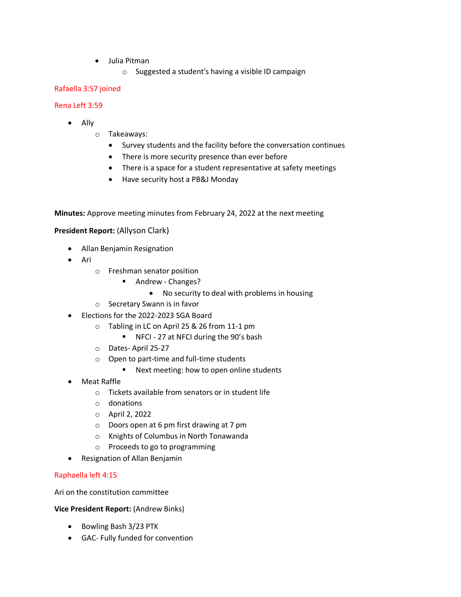- Julia Pitman
	- o Suggested a student's having a visible ID campaign

# Rafaella 3:57 joined

### Rena Left 3:59

- Ally
	- o Takeaways:
		- Survey students and the facility before the conversation continues
		- There is more security presence than ever before
		- There is a space for a student representative at safety meetings
		- Have security host a PB&J Monday

**Minutes:** Approve meeting minutes from February 24, 2022 at the next meeting

# **President Report:** (Allyson Clark)

- Allan Benjamin Resignation
- Ari
	- o Freshman senator position
		- Andrew Changes?
			- No security to deal with problems in housing
	- o Secretary Swann is in favor
- Elections for the 2022-2023 SGA Board
	- o Tabling in LC on April 25 & 26 from 11-1 pm
		- NFCI 27 at NFCI during the 90's bash
	- o Dates- April 25-27
	- o Open to part-time and full-time students
		- Next meeting: how to open online students
- Meat Raffle
	- o Tickets available from senators or in student life
	- o donations
	- o April 2, 2022
	- o Doors open at 6 pm first drawing at 7 pm
	- o Knights of Columbus in North Tonawanda
	- o Proceeds to go to programming
- Resignation of Allan Benjamin

#### Raphaella left 4:15

Ari on the constitution committee

#### **Vice President Report:** (Andrew Binks)

- Bowling Bash 3/23 PTK
- GAC- Fully funded for convention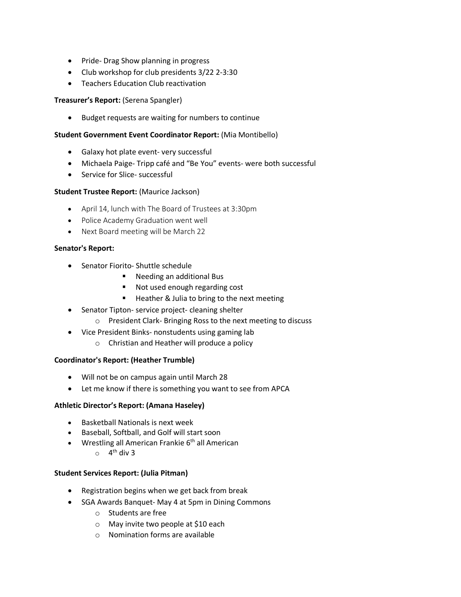- Pride- Drag Show planning in progress
- Club workshop for club presidents 3/22 2-3:30
- Teachers Education Club reactivation

# **Treasurer's Report:** (Serena Spangler)

• Budget requests are waiting for numbers to continue

### **Student Government Event Coordinator Report:** (Mia Montibello)

- Galaxy hot plate event- very successful
- Michaela Paige- Tripp café and "Be You" events- were both successful
- Service for Slice- successful

# **Student Trustee Report:** (Maurice Jackson)

- April 14, lunch with The Board of Trustees at 3:30pm
- Police Academy Graduation went well
- Next Board meeting will be March 22

# **Senator's Report:**

- Senator Fiorito- Shuttle schedule
	- Needing an additional Bus
	- Not used enough regarding cost
	- Heather & Julia to bring to the next meeting
- Senator Tipton- service project- cleaning shelter
	- o President Clark- Bringing Ross to the next meeting to discuss
- Vice President Binks- nonstudents using gaming lab
	- o Christian and Heather will produce a policy

#### **Coordinator's Report: (Heather Trumble)**

- Will not be on campus again until March 28
- Let me know if there is something you want to see from APCA

#### **Athletic Director's Report: (Amana Haseley)**

- Basketball Nationals is next week
- Baseball, Softball, and Golf will start soon
- Wrestling all American Frankie  $6<sup>th</sup>$  all American
	- $\circ$  4<sup>th</sup> div 3

#### **Student Services Report: (Julia Pitman)**

- Registration begins when we get back from break
- SGA Awards Banquet- May 4 at 5pm in Dining Commons
	- o Students are free
	- o May invite two people at \$10 each
	- o Nomination forms are available